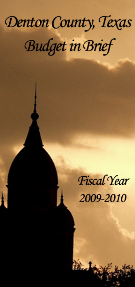# Denton County, Texas **Budget in Brief**

**Fiscal Year** 

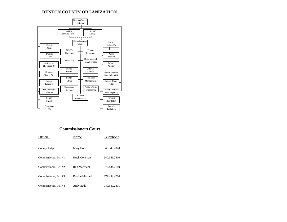## **DENTON COUNTY ORGANIZATION**



## **Commissioners Court**

| Official              | Name                   | <b>Telephone</b> |
|-----------------------|------------------------|------------------|
| County Judge          | Mary Horn              | 940.349.2820     |
| Commissioner, Pct. #1 | Hugh Coleman           | 940.349.2810     |
| Commissioner, Pct. #2 | Ron Marchant           | 972.434.7140     |
| Commissioner, Pct. #3 | <b>Bobbie Mitchell</b> | 972.434.4780     |
| Commissioner, Pct. #4 | Andy Eads              | 940.349.2801     |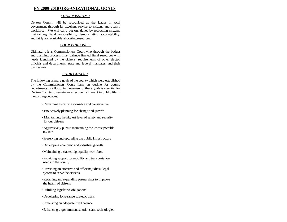#### **FY 2009-2010 ORGANIZATIONAL GOALS**

#### *• OUR MISSION •*

Denton County will be recognized as the leader in local government through its excellent service to citizens and qualit y workforce. We will carry out our duties by respecting citizens, maintaining fiscal responsibility, demonstrating accountability, and fairly and equitably allocating resources.

#### *• OUR PURPOSE •*

Ultimately, it is Commissioners Court who through the budget and planning process, must balance limited fiscal resources wit h needs identified by the citizens, requirements of other electe d officials and departments, state and federal mandates, and their own values.

#### *• OUR GOALS •*

The following primary goals of the county which were establishe dby the Commissioners Court form an outline for count y departments to follow. Achievement of these goals is essential for Denton County to remain an effective instrument in public life in the coming decades.

- *•* Remaining fiscally responsible and conservative
- Pro-actively planning for change and growth
- Maintaining the highest level of safety and security for our citizens
- Aggressively pursue maintaining the lowest possible tax rate
- Preserving and upgrading the public infrastructure
- Developing economic and industrial growth
- Maintaining a stable, high quality workforce
- Providing support for mobility and transportation needs in the county
- Providing an effective and efficient judicial/legal system to serve the citizens
- Retaining and expanding partnerships to improve the health of citizens
- Fulfilling legislative obligations
- Developing long-range strategic plans
- *•* Preserving an adequate fund balance
- *•* Enhancing e-government solutions and technologies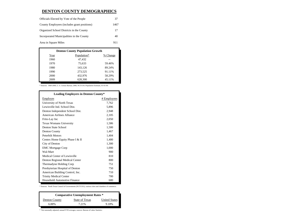#### **DENTON COUNTY DEMOGRAPHICS**

| Officials Elected by Vote of the People     | 37   |
|---------------------------------------------|------|
| County Employees (includes grant positions) | 1467 |
| Organized School Districts in the County    | 17   |
| Incorporated Municipalities in the County   | 40   |
| Area in Square Miles                        | 911  |

| <b>Denton County Population Growth</b> |             |          |  |  |
|----------------------------------------|-------------|----------|--|--|
| Year                                   | Population* | % Change |  |  |
| 1960                                   | 47.432      |          |  |  |
| 1970                                   | 75,633      | 59.46%   |  |  |
| 1980                                   | 143.126     | 89.24%   |  |  |
| 1990                                   | 273,525     | 91.11%   |  |  |
| 2000                                   | 432.976     | 58.29%   |  |  |
| 2009                                   | 628,300     | 45.11%   |  |  |

\* Sources: 1960-2000, U. S. Census Bureau; 2000, NCTCOG Population Estimate, 01-01-09.

| <b>Leading Employers in Denton County*</b> |             |
|--------------------------------------------|-------------|
| Employer                                   | # Employees |
| University of North Texas                  | 7,762       |
| Lewisville Ind. School Dist.               | 5,896       |
| Denton Independent School Dist.            | 2,948       |
| American Airlines Alliance                 | 2,105       |
| Frito-Lay Inc                              | 2,050       |
| Texas Womans University                    | 1,586       |
| Denton State School                        | 1,500       |
| Denton County                              | 1,467       |
| <b>Peterbilt Motors</b>                    | 1,404       |
| Centex Home Equity Phase I & II            | 1,400       |
| City of Denton                             | 1,300       |
| <b>EMC</b> Mortgage Corp                   | 1,000       |
| Wal-Mart                                   | 900         |
| Medical Center of Lewisville               | 810         |
| Denton Regional Medical Center             | 800         |
| Thermadyne Holding Corp                    | 751         |
| Presbyterian Hospital of Denton            | 750         |
| American Building Control, Inc.            | 710         |
| <b>Trinity Medical Center</b>              | 700         |
| Household Automotive Finance               | 680         |

\* Sources: North Texas Council of Governments (NCTCOG), various cities and chambers of commerce.

| <b>Comparative Unemployment Rates *</b> |                |                      |  |  |
|-----------------------------------------|----------------|----------------------|--|--|
| Denton County                           | State of Texas | <b>United States</b> |  |  |
| 6.88%                                   | 7.21%          | 9.18%                |  |  |

 $^\ast~$  Not seasonally adjusted; annual/YTD averages; sources: Bureau of Labor Statistics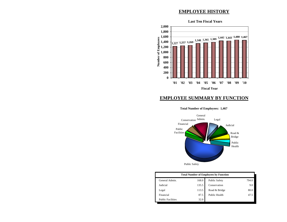## **EMPLOYEE HISTORY**



## **EMPLOYEE SUMMARY BY FUNCTION**

#### **Total Number of Employees: 1,467**



Public Safety

| <b>Total Number of Employees by Function</b> |       |                      |       |  |
|----------------------------------------------|-------|----------------------|-------|--|
| General Admin.                               | 168.0 | <b>Public Safety</b> | 794.0 |  |
| Judicial                                     | 135.5 | Conservation         | 9.0   |  |
| Legal                                        | 113.5 | Road & Bridge        | 80.0  |  |
| Financial                                    | 87.5  | Public Health        | 47.5  |  |
| <b>Public Facilities</b>                     | 32.0  |                      |       |  |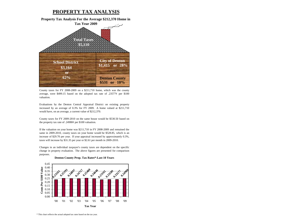## **PROPERTY TAX ANALYSIS**

**Property Tax Analysis For the Average \$212,370 Home in Tax Year 2009**



County taxes for FY 2008-2009 on <sup>a</sup> \$211,710 home, which was the county average, were \$499.15 based on the adopted tax rate of  $.23577¢$  per \$100 valuation.

Evaluations by the Denton Central Appraisal District on existing property increased by an average of 0.3% for FY 2009. A home valued at \$211,710 would have, on an average, a current value of \$212,370.

County taxes for FY 2009-2010 on the same house would be \$530.50 based on the property tax rate of .24980¢ per \$100 valuation.

If the valuation on your home was \$211,710 in FY 2008-2009 and remained the same in 2009-2010, county taxes on your home would be \$528.85, which is an increase of \$29.70 per year. If your appraisal increased by approximately 0.3%, taxes will increase by \$31.35 per year or \$2.61 per month in 2009-2010.

Changes in an individual taxpayer's county taxes are dependent on the specific change in property evaluation. The above figures are presented for comparison purposes.





\* This chart reflects the actual adopted tax rates based on the tax year.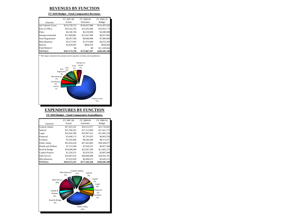## **REVENUES BY FUNCTION**

#### **FY 2010 Budget - Total Comparative Revenues**

|                          | FY 2007-08    | FY 2008-09    | FY 2009-10    |
|--------------------------|---------------|---------------|---------------|
| Function                 | Actual        | Estimates     | <b>Budget</b> |
| <b>Ad Valorem Taxes</b>  | \$116,739,752 | \$126,037,000 | \$131,497,635 |
| Fees of Office           | \$14,532,705  | \$14,292,000  | \$14,652,772  |
| Fines                    | \$4,146,764   | \$4,310,000   | \$4,380,000   |
| Intergovernmental        | \$15,409,861  | \$13,827,689  | \$9,837,682   |
| <b>Auto Registration</b> | \$8,297,596   | \$8,688,488   | \$7,800,000   |
| Miscellaneous            | \$5,217,665   | \$7,075,080   | \$4,225,305   |
| <b>Interest</b>          | \$2,829,407   | \$836,910     | \$928,050     |
| Fund Balance*            | \$0           | \$0           | \$11,183,664  |
| <b>TOTALS</b>            | \$167,173,750 | \$175,067,167 | \$184,505,108 |





## **EXPENDITURES BY FUNCTION**

**FY 2010 Budget - Total Comparative Expenditures** 

|                      | FY 2007-08    | FY 2008-09    | FY 2009-10    |
|----------------------|---------------|---------------|---------------|
| Function             | Actual        | Estimates     | <b>Budget</b> |
| General Admin        | \$17,625,331  | \$19,212,977  | \$21,735,001  |
| Judicial             | \$15,786,201  | \$17,131,868  | \$17,421,772  |
| Legal                | \$10,442,389  | \$10,997,412  | \$11,081,318  |
| Financial            | \$5,468,113   | \$5,703,053   | \$6,063,558   |
| Facilities           | \$7,645,966   | \$8,284,389   | \$8,373,257   |
| <b>Public Safety</b> | \$53,934,418  | \$57,463,883  | \$58,506,077  |
| Health and Welfare   | \$7,274,398   | \$7,029,225   | \$6,857,360   |
| Road & Bridge        | \$10,690,649  | \$12,697,209  | \$11,981,275  |
| Capital Projects     | \$1,220,531   | \$3,424,550   | \$2,807,484   |
| Debt Service         | \$25,867,622  | \$28,860,088  | \$34,032,791  |
| Miscellaneous        | \$7,616,929   | \$6,440,672   | \$5,645,215   |
| <b>TOTALS</b>        | \$163,572,547 | \$177,245,326 | \$184,505,108 |